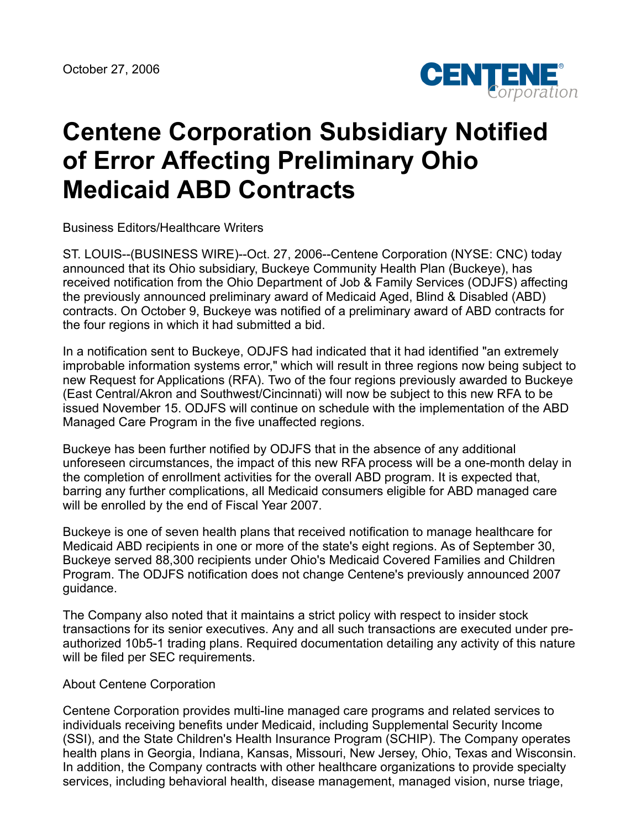

## **Centene Corporation Subsidiary Notified of Error Affecting Preliminary Ohio Medicaid ABD Contracts**

Business Editors/Healthcare Writers

ST. LOUIS--(BUSINESS WIRE)--Oct. 27, 2006--Centene Corporation (NYSE: CNC) today announced that its Ohio subsidiary, Buckeye Community Health Plan (Buckeye), has received notification from the Ohio Department of Job & Family Services (ODJFS) affecting the previously announced preliminary award of Medicaid Aged, Blind & Disabled (ABD) contracts. On October 9, Buckeye was notified of a preliminary award of ABD contracts for the four regions in which it had submitted a bid.

In a notification sent to Buckeye, ODJFS had indicated that it had identified "an extremely improbable information systems error," which will result in three regions now being subject to new Request for Applications (RFA). Two of the four regions previously awarded to Buckeye (East Central/Akron and Southwest/Cincinnati) will now be subject to this new RFA to be issued November 15. ODJFS will continue on schedule with the implementation of the ABD Managed Care Program in the five unaffected regions.

Buckeye has been further notified by ODJFS that in the absence of any additional unforeseen circumstances, the impact of this new RFA process will be a one-month delay in the completion of enrollment activities for the overall ABD program. It is expected that, barring any further complications, all Medicaid consumers eligible for ABD managed care will be enrolled by the end of Fiscal Year 2007.

Buckeye is one of seven health plans that received notification to manage healthcare for Medicaid ABD recipients in one or more of the state's eight regions. As of September 30, Buckeye served 88,300 recipients under Ohio's Medicaid Covered Families and Children Program. The ODJFS notification does not change Centene's previously announced 2007 guidance.

The Company also noted that it maintains a strict policy with respect to insider stock transactions for its senior executives. Any and all such transactions are executed under preauthorized 10b5-1 trading plans. Required documentation detailing any activity of this nature will be filed per SEC requirements.

## About Centene Corporation

Centene Corporation provides multi-line managed care programs and related services to individuals receiving benefits under Medicaid, including Supplemental Security Income (SSI), and the State Children's Health Insurance Program (SCHIP). The Company operates health plans in Georgia, Indiana, Kansas, Missouri, New Jersey, Ohio, Texas and Wisconsin. In addition, the Company contracts with other healthcare organizations to provide specialty services, including behavioral health, disease management, managed vision, nurse triage,